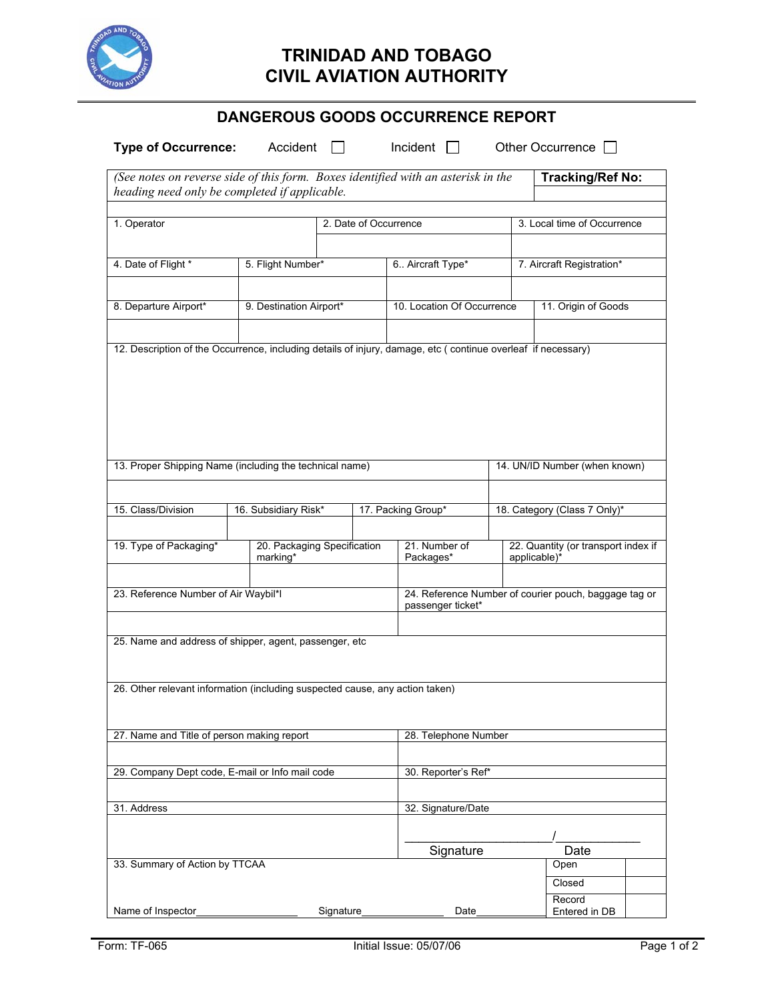

## **TRINIDAD AND TOBAGO CIVIL AVIATION AUTHORITY**

|  |  | <b>DANGEROUS GOODS OCCURRENCE REPORT</b> |  |
|--|--|------------------------------------------|--|
|--|--|------------------------------------------|--|

| <b>Type of Occurrence:</b>                                                                                                         | Accident<br>$\perp$     |                                            | Incident $\Box$            |                           | Other Occurrence                                      |  |
|------------------------------------------------------------------------------------------------------------------------------------|-------------------------|--------------------------------------------|----------------------------|---------------------------|-------------------------------------------------------|--|
| (See notes on reverse side of this form. Boxes identified with an asterisk in the<br>heading need only be completed if applicable. |                         |                                            |                            |                           | <b>Tracking/Ref No:</b>                               |  |
| 1. Operator<br>4. Date of Flight *<br>5. Flight Number*                                                                            |                         | 2. Date of Occurrence<br>6. Aircraft Type* |                            |                           | 3. Local time of Occurrence                           |  |
|                                                                                                                                    |                         |                                            |                            | 7. Aircraft Registration* |                                                       |  |
| 8. Departure Airport*                                                                                                              | 9. Destination Airport* |                                            | 10. Location Of Occurrence |                           | 11. Origin of Goods                                   |  |
| 12. Description of the Occurrence, including details of injury, damage, etc (continue overleaf if necessary)                       |                         |                                            |                            |                           |                                                       |  |
| 13. Proper Shipping Name (including the technical name)                                                                            |                         |                                            |                            |                           | 14. UN/ID Number (when known)                         |  |
| 15. Class/Division                                                                                                                 | 16. Subsidiary Risk*    |                                            | 17. Packing Group*         |                           | 18. Category (Class 7 Only)*                          |  |
| 19. Type of Packaging*                                                                                                             | marking*                | 20. Packaging Specification                |                            |                           | 22. Quantity (or transport index if<br>applicable)*   |  |
| 23. Reference Number of Air Waybil*I                                                                                               |                         |                                            | passenger ticket*          |                           | 24. Reference Number of courier pouch, baggage tag or |  |
| 25. Name and address of shipper, agent, passenger, etc                                                                             |                         |                                            |                            |                           |                                                       |  |
| 26. Other relevant information (including suspected cause, any action taken)                                                       |                         |                                            |                            |                           |                                                       |  |
| 27. Name and Title of person making report                                                                                         |                         |                                            | 28. Telephone Number       |                           |                                                       |  |
| 29. Company Dept code, E-mail or Info mail code                                                                                    |                         |                                            | 30. Reporter's Ref*        |                           |                                                       |  |
| 31. Address                                                                                                                        |                         |                                            | 32. Signature/Date         |                           |                                                       |  |
| 33. Summary of Action by TTCAA                                                                                                     |                         |                                            | Signature                  |                           | Date<br>Open<br>Closed                                |  |
| Name of Inspector                                                                                                                  | Signature               |                                            | Date                       |                           | Record<br>Entered in DB                               |  |